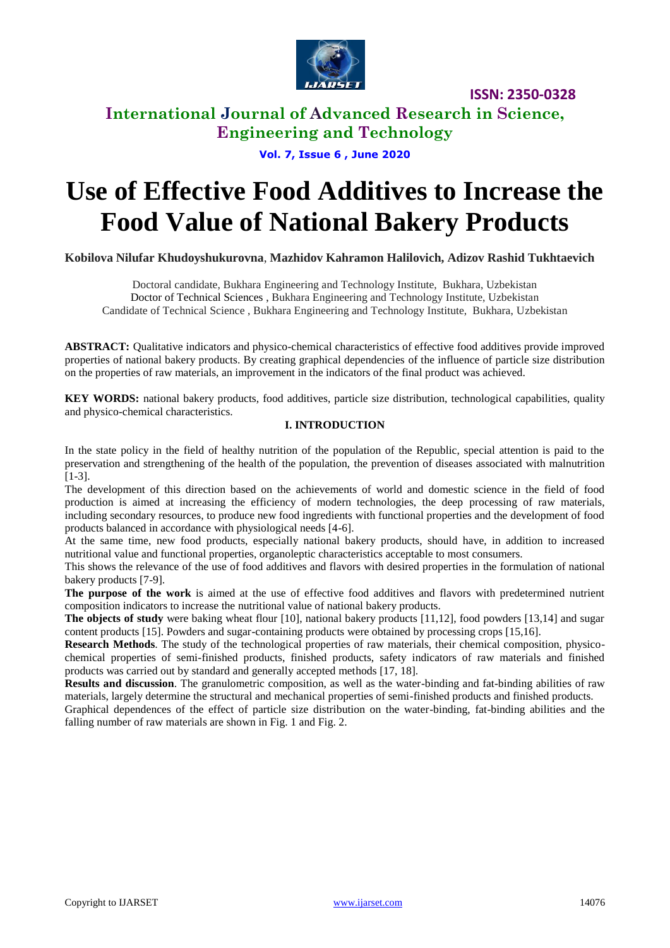

### **International Journal of Advanced Research in Science, Engineering and Technology**

### **Vol. 7, Issue 6 , June 2020**

# **Use of Effective Food Additives to Increase the Food Value of National Bakery Products**

**Kobilova Nilufar Khudoyshukurovna**, **Mazhidov Kahramon Halilovich, Adizov Rashid Tukhtaevich**

Doctoral candidate, Bukhara Engineering and Technology Institute, Bukhara, Uzbekistan Doctor of Technical Sciences , Bukhara Engineering and Technology Institute, Uzbekistan Candidate of Technical Science , Bukhara Engineering and Technology Institute, Bukhara, Uzbekistan

**ABSTRACT:** Qualitative indicators and physico-chemical characteristics of effective food additives provide improved properties of national bakery products. By creating graphical dependencies of the influence of particle size distribution on the properties of raw materials, an improvement in the indicators of the final product was achieved.

**KEY WORDS:** national bakery products, food additives, particle size distribution, technological capabilities, quality and physico-chemical characteristics.

#### **I. INTRODUCTION**

In the state policy in the field of healthy nutrition of the population of the Republic, special attention is paid to the preservation and strengthening of the health of the population, the prevention of diseases associated with malnutrition [1-3].

The development of this direction based on the achievements of world and domestic science in the field of food production is aimed at increasing the efficiency of modern technologies, the deep processing of raw materials, including secondary resources, to produce new food ingredients with functional properties and the development of food products balanced in accordance with physiological needs [4-6].

At the same time, new food products, especially national bakery products, should have, in addition to increased nutritional value and functional properties, organoleptic characteristics acceptable to most consumers.

This shows the relevance of the use of food additives and flavors with desired properties in the formulation of national bakery products [7-9].

**The purpose of the work** is aimed at the use of effective food additives and flavors with predetermined nutrient composition indicators to increase the nutritional value of national bakery products.

**The objects of study** were baking wheat flour [10], national bakery products [11,12], food powders [13,14] and sugar content products [15]. Powders and sugar-containing products were obtained by processing crops [15,16].

**Research Methods**. The study of the technological properties of raw materials, their chemical composition, physicochemical properties of semi-finished products, finished products, safety indicators of raw materials and finished products was carried out by standard and generally accepted methods [17, 18].

**Results and discussion**. The granulometric composition, as well as the water-binding and fat-binding abilities of raw materials, largely determine the structural and mechanical properties of semi-finished products and finished products.

Graphical dependences of the effect of particle size distribution on the water-binding, fat-binding abilities and the falling number of raw materials are shown in Fig. 1 and Fig. 2.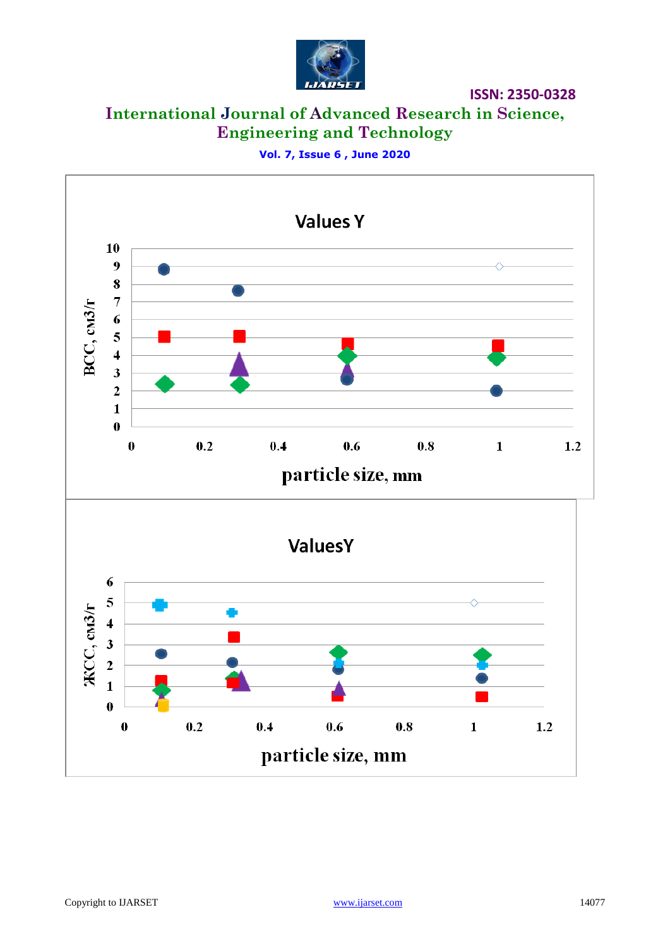

**International Journal of Advanced Research in Science, Engineering and Technology**

**Vol. 7, Issue 6 , June 2020**

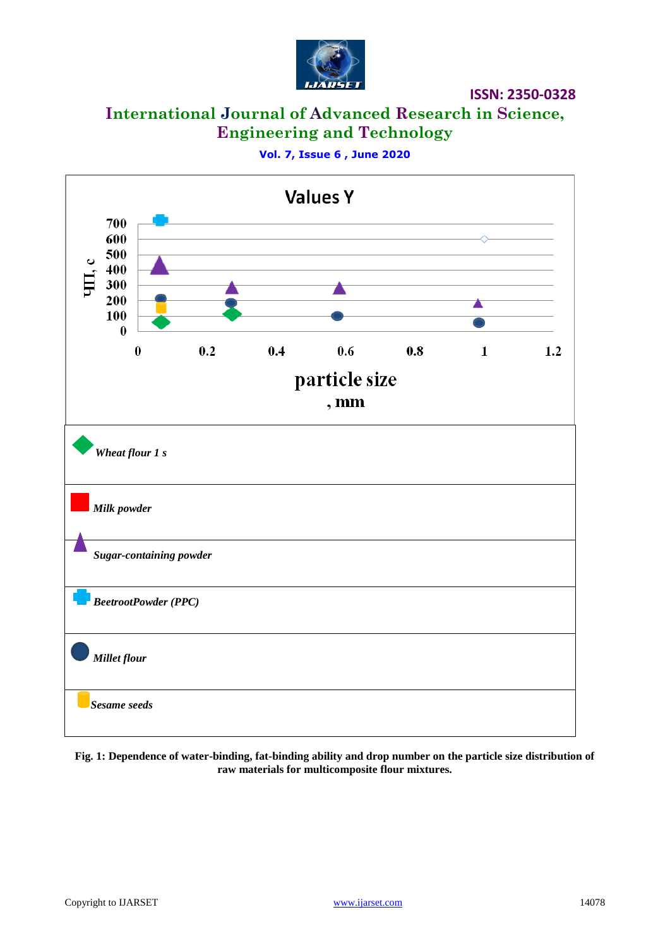

# **International Journal of Advanced Research in Science, Engineering and Technology**

**Vol. 7, Issue 6 , June 2020**



**Fig. 1: Dependence of water-binding, fat-binding ability and drop number on the particle size distribution of raw materials for multicomposite flour mixtures.**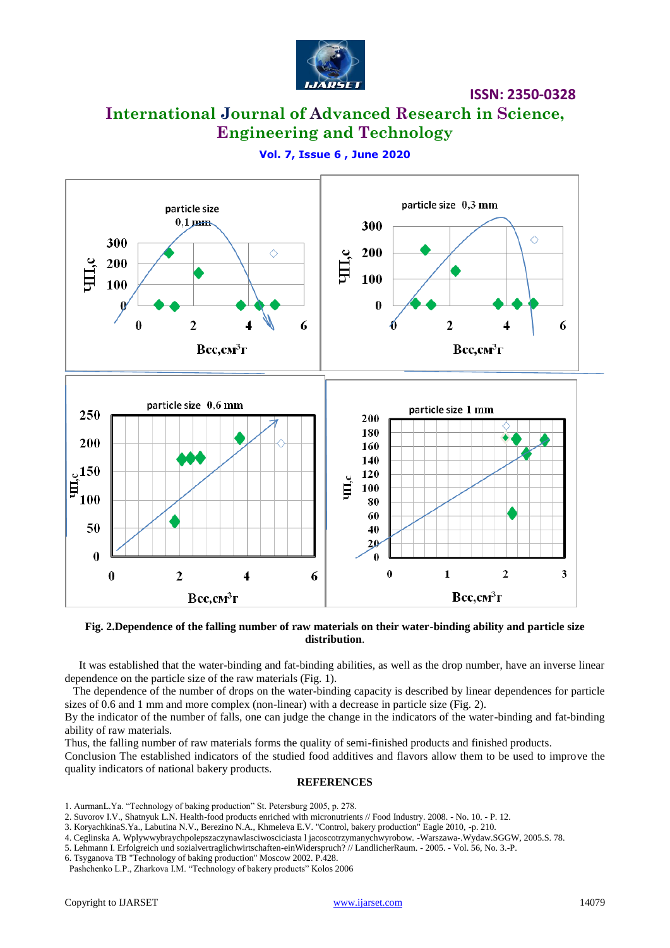

## **International Journal of Advanced Research in Science, Engineering and Technology**



**Vol. 7, Issue 6 , June 2020**

**Fig. 2.Dependence of the falling number of raw materials on their water-binding ability and particle size distribution**.

 It was established that the water-binding and fat-binding abilities, as well as the drop number, have an inverse linear dependence on the particle size of the raw materials (Fig. 1).

 The dependence of the number of drops on the water-binding capacity is described by linear dependences for particle sizes of 0.6 and 1 mm and more complex (non-linear) with a decrease in particle size (Fig. 2).

By the indicator of the number of falls, one can judge the change in the indicators of the water-binding and fat-binding ability of raw materials.

Thus, the falling number of raw materials forms the quality of semi-finished products and finished products.

Conclusion The established indicators of the studied food additives and flavors allow them to be used to improve the quality indicators of national bakery products.

#### **REFERENCES**

- 1. AurmanL.Ya. "Technology of baking production" St. Petersburg 2005, p. 278.
- 2. Suvorov I.V., Shatnyuk L.N. Health-food products enriched with micronutrients // Food Industry. 2008. No. 10. P. 12.
- 3. KoryachkinaS.Ya., Labutina N.V., Berezino N.A., Khmeleva E.V. "Control, bakery production" Eagle 2010, -p. 210.
- 4. Ceglinska A. Wplywwybraychpolepszaczynawlasciwosciciasta l jacoscotrzymanychwyrobow. -Warszawa-.Wydaw.SGGW, 2005.S. 78.

5. Lehmann I. Erfolgreich und sozialvertraglichwirtschaften-einWiderspruch? // LandlicherRaum. - 2005. - Vol. 56, No. 3.-P.

6. Tsyganova TB "Technology of baking production" Moscow 2002. P.428.

Pashchenko L.P., Zharkova I.M. "Technology of bakery products" Kolos 2006